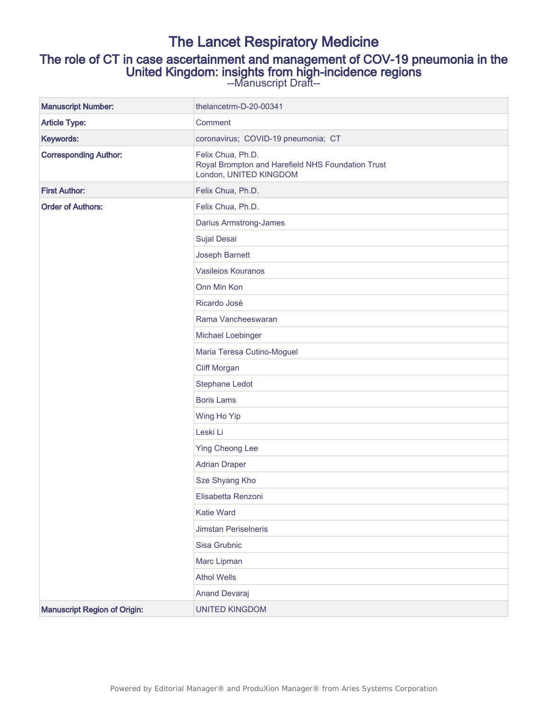# The Lancet Respiratory Medicine The role of CT in case ascertainment and management of COV-19 pneumonia in the United Kingdom: insights from high-incidence regions

--Manuscript Draft--

| <b>Manuscript Number:</b>           | thelancetrm-D-20-00341                                                                           |
|-------------------------------------|--------------------------------------------------------------------------------------------------|
| <b>Article Type:</b>                | Comment                                                                                          |
| Keywords:                           | coronavirus; COVID-19 pneumonia; CT                                                              |
| <b>Corresponding Author:</b>        | Felix Chua, Ph.D.<br>Royal Brompton and Harefield NHS Foundation Trust<br>London, UNITED KINGDOM |
| <b>First Author:</b>                | Felix Chua, Ph.D.                                                                                |
| <b>Order of Authors:</b>            | Felix Chua, Ph.D.                                                                                |
|                                     | Darius Armstrong-James                                                                           |
|                                     | Sujal Desai                                                                                      |
|                                     | Joseph Barnett                                                                                   |
|                                     | Vasileios Kouranos                                                                               |
|                                     | Onn Min Kon                                                                                      |
|                                     | Ricardo José                                                                                     |
|                                     | Rama Vancheeswaran                                                                               |
|                                     | Michael Loebinger                                                                                |
|                                     | Maria Teresa Cutino-Moguel                                                                       |
|                                     | <b>Cliff Morgan</b>                                                                              |
|                                     | Stephane Ledot                                                                                   |
|                                     | <b>Boris Lams</b>                                                                                |
|                                     | Wing Ho Yip                                                                                      |
|                                     | Leski Li                                                                                         |
|                                     | <b>Ying Cheong Lee</b>                                                                           |
|                                     | <b>Adrian Draper</b>                                                                             |
|                                     | Sze Shyang Kho                                                                                   |
|                                     | Elisabetta Renzoni                                                                               |
|                                     | <b>Katie Ward</b>                                                                                |
|                                     | Jimstan Periselneris                                                                             |
|                                     | Sisa Grubnic                                                                                     |
|                                     | Marc Lipman                                                                                      |
|                                     | <b>Athol Wells</b>                                                                               |
|                                     | Anand Devaraj                                                                                    |
| <b>Manuscript Region of Origin:</b> | <b>UNITED KINGDOM</b>                                                                            |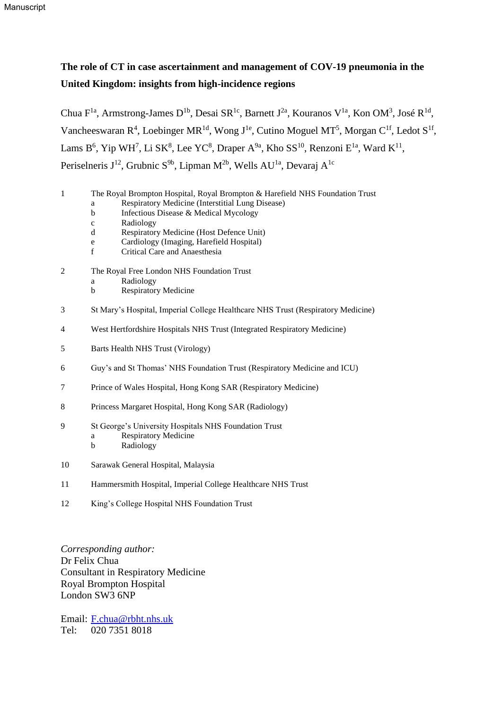# **The role of CT in case ascertainment and management of COV-19 pneumonia in the United Kingdom: insights from high-incidence regions**

Chua F<sup>1a</sup>, Armstrong-James D<sup>1b</sup>, Desai SR<sup>1c</sup>, Barnett J<sup>2a</sup>, Kouranos V<sup>1a</sup>, Kon OM<sup>3</sup>, José R<sup>1d</sup>, Vancheeswaran  $R^4$ , Loebinger MR<sup>1d</sup>, Wong J<sup>1e</sup>, Cutino Moguel MT<sup>5</sup>, Morgan C<sup>1f</sup>, Ledot S<sup>1f</sup>, Lams  $B^6$ , Yip WH<sup>7</sup>, Li SK<sup>8</sup>, Lee YC<sup>8</sup>, Draper A<sup>9a</sup>, Kho SS<sup>10</sup>, Renzoni E<sup>1a</sup>, Ward K<sup>11</sup>, Periselneris J<sup>12</sup>, Grubnic S<sup>9b</sup>, Lipman M<sup>2b</sup>, Wells AU<sup>1a</sup>, Devaraj A<sup>1c</sup>

- 1 The Royal Brompton Hospital, Royal Brompton & Harefield NHS Foundation Trust
	- a Respiratory Medicine (Interstitial Lung Disease)
	- b Infectious Disease & Medical Mycology
	- c Radiology
	- d Respiratory Medicine (Host Defence Unit)
	- e Cardiology (Imaging, Harefield Hospital)
	- f Critical Care and Anaesthesia
- 2 The Royal Free London NHS Foundation Trust
	- a Radiology
	- b Respiratory Medicine
- 3 St Mary's Hospital, Imperial College Healthcare NHS Trust (Respiratory Medicine)
- 4 West Hertfordshire Hospitals NHS Trust (Integrated Respiratory Medicine)
- 5 Barts Health NHS Trust (Virology)
- 6 Guy's and St Thomas' NHS Foundation Trust (Respiratory Medicine and ICU)
- 7 Prince of Wales Hospital, Hong Kong SAR (Respiratory Medicine)
- 8 Princess Margaret Hospital, Hong Kong SAR (Radiology)
- 9 St George's University Hospitals NHS Foundation Trust a Respiratory Medicine
	- b Radiology
- 10 Sarawak General Hospital, Malaysia
- 11 Hammersmith Hospital, Imperial College Healthcare NHS Trust
- 12 King's College Hospital NHS Foundation Trust

*Corresponding author:* Dr Felix Chua Consultant in Respiratory Medicine Royal Brompton Hospital London SW3 6NP

Email: [F.chua@rbht.nhs.uk](mailto:F.chua@rbht.nhs.uk) Tel: 020 7351 8018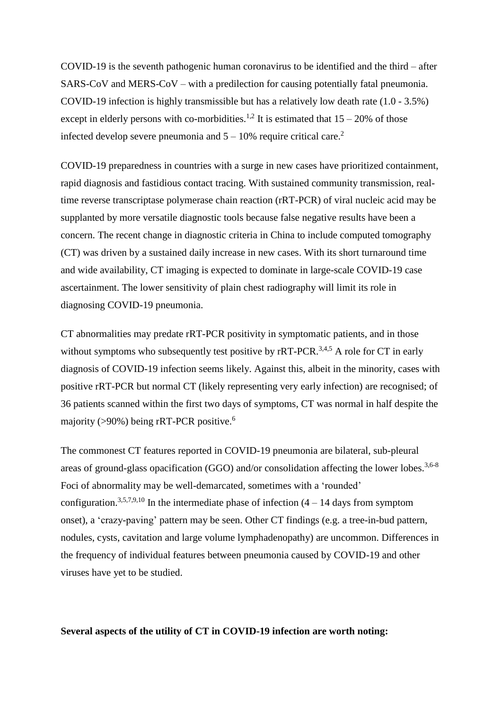COVID-19 is the seventh pathogenic human coronavirus to be identified and the third – after SARS-CoV and MERS-CoV – with a predilection for causing potentially fatal pneumonia. COVID-19 infection is highly transmissible but has a relatively low death rate (1.0 - 3.5%) except in elderly persons with co-morbidities.<sup>1,2</sup> It is estimated that  $15 - 20\%$  of those infected develop severe pneumonia and  $5 - 10\%$  require critical care.<sup>2</sup>

COVID-19 preparedness in countries with a surge in new cases have prioritized containment, rapid diagnosis and fastidious contact tracing. With sustained community transmission, realtime reverse transcriptase polymerase chain reaction (rRT-PCR) of viral nucleic acid may be supplanted by more versatile diagnostic tools because false negative results have been a concern. The recent change in diagnostic criteria in China to include computed tomography (CT) was driven by a sustained daily increase in new cases. With its short turnaround time and wide availability, CT imaging is expected to dominate in large-scale COVID-19 case ascertainment. The lower sensitivity of plain chest radiography will limit its role in diagnosing COVID-19 pneumonia.

CT abnormalities may predate rRT-PCR positivity in symptomatic patients, and in those without symptoms who subsequently test positive by  $rRT-PCR$ .<sup>3,4,5</sup> A role for CT in early diagnosis of COVID-19 infection seems likely. Against this, albeit in the minority, cases with positive rRT-PCR but normal CT (likely representing very early infection) are recognised; of 36 patients scanned within the first two days of symptoms, CT was normal in half despite the majority (>90%) being rRT-PCR positive. 6

The commonest CT features reported in COVID-19 pneumonia are bilateral, sub-pleural areas of ground-glass opacification (GGO) and/or consolidation affecting the lower lobes.<sup>3,6-8</sup> Foci of abnormality may be well-demarcated, sometimes with a 'rounded' configuration.<sup>3,5,7,9,10</sup> In the intermediate phase of infection  $(4 - 14$  days from symptom onset), a 'crazy-paving' pattern may be seen. Other CT findings (e.g. a tree-in-bud pattern, nodules, cysts, cavitation and large volume lymphadenopathy) are uncommon. Differences in the frequency of individual features between pneumonia caused by COVID-19 and other viruses have yet to be studied.

**Several aspects of the utility of CT in COVID-19 infection are worth noting:**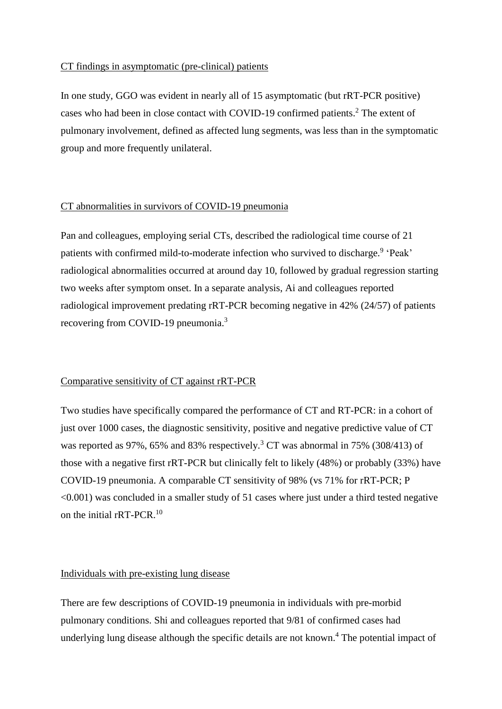#### CT findings in asymptomatic (pre-clinical) patients

In one study, GGO was evident in nearly all of 15 asymptomatic (but rRT-PCR positive) cases who had been in close contact with COVID-19 confirmed patients. <sup>2</sup> The extent of pulmonary involvement, defined as affected lung segments, was less than in the symptomatic group and more frequently unilateral.

#### CT abnormalities in survivors of COVID-19 pneumonia

Pan and colleagues, employing serial CTs, described the radiological time course of 21 patients with confirmed mild-to-moderate infection who survived to discharge.<sup>9</sup> 'Peak' radiological abnormalities occurred at around day 10, followed by gradual regression starting two weeks after symptom onset. In a separate analysis, Ai and colleagues reported radiological improvement predating rRT-PCR becoming negative in 42% (24/57) of patients recovering from COVID-19 pneumonia.<sup>3</sup>

#### Comparative sensitivity of CT against rRT-PCR

Two studies have specifically compared the performance of CT and RT-PCR: in a cohort of just over 1000 cases, the diagnostic sensitivity, positive and negative predictive value of CT was reported as 97%, 65% and 83% respectively.<sup>3</sup> CT was abnormal in 75% (308/413) of those with a negative first rRT-PCR but clinically felt to likely (48%) or probably (33%) have COVID-19 pneumonia. A comparable CT sensitivity of 98% (vs 71% for rRT-PCR; P  $\leq 0.001$ ) was concluded in a smaller study of 51 cases where just under a third tested negative on the initial rRT-PCR.<sup>10</sup>

## Individuals with pre-existing lung disease

There are few descriptions of COVID-19 pneumonia in individuals with pre-morbid pulmonary conditions. Shi and colleagues reported that 9/81 of confirmed cases had underlying lung disease although the specific details are not known.<sup>4</sup> The potential impact of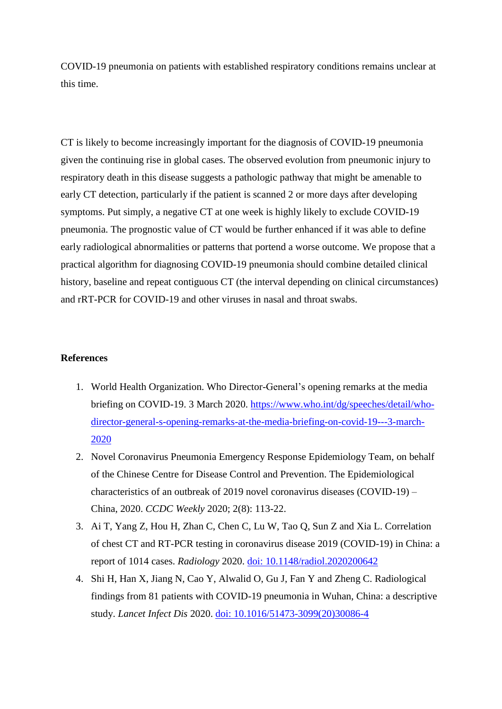COVID-19 pneumonia on patients with established respiratory conditions remains unclear at this time.

CT is likely to become increasingly important for the diagnosis of COVID-19 pneumonia given the continuing rise in global cases. The observed evolution from pneumonic injury to respiratory death in this disease suggests a pathologic pathway that might be amenable to early CT detection, particularly if the patient is scanned 2 or more days after developing symptoms. Put simply, a negative CT at one week is highly likely to exclude COVID-19 pneumonia. The prognostic value of CT would be further enhanced if it was able to define early radiological abnormalities or patterns that portend a worse outcome. We propose that a practical algorithm for diagnosing COVID-19 pneumonia should combine detailed clinical history, baseline and repeat contiguous CT (the interval depending on clinical circumstances) and rRT-PCR for COVID-19 and other viruses in nasal and throat swabs.

## **References**

- 1. World Health Organization. Who Director-General's opening remarks at the media briefing on COVID-19. 3 March 2020. [https://www.who.int/dg/speeches/detail/who](https://www.who.int/dg/speeches/detail/who-director-general-s-opening-remarks-at-the-media-briefing-on-covid-19---3-march-2020)[director-general-s-opening-remarks-at-the-media-briefing-on-covid-19---3-march-](https://www.who.int/dg/speeches/detail/who-director-general-s-opening-remarks-at-the-media-briefing-on-covid-19---3-march-2020)[2020](https://www.who.int/dg/speeches/detail/who-director-general-s-opening-remarks-at-the-media-briefing-on-covid-19---3-march-2020)
- 2. Novel Coronavirus Pneumonia Emergency Response Epidemiology Team, on behalf of the Chinese Centre for Disease Control and Prevention. The Epidemiological characteristics of an outbreak of 2019 novel coronavirus diseases (COVID-19) – China, 2020. *CCDC Weekly* 2020; 2(8): 113-22.
- 3. Ai T, Yang Z, Hou H, Zhan C, Chen C, Lu W, Tao Q, Sun Z and Xia L. Correlation of chest CT and RT-PCR testing in coronavirus disease 2019 (COVID-19) in China: a report of 1014 cases. *Radiology* 2020. [doi: 10.1148/radiol.2020200642](https://doi.org/10.1148/radiol.2020200642)
- 4. Shi H, Han X, Jiang N, Cao Y, Alwalid O, Gu J, Fan Y and Zheng C. Radiological findings from 81 patients with COVID-19 pneumonia in Wuhan, China: a descriptive study. *Lancet Infect Dis* 2020. [doi: 10.1016/51473-3099\(20\)30086-4](https://doi.org/10.1016/51473-3099(20)30086-4)